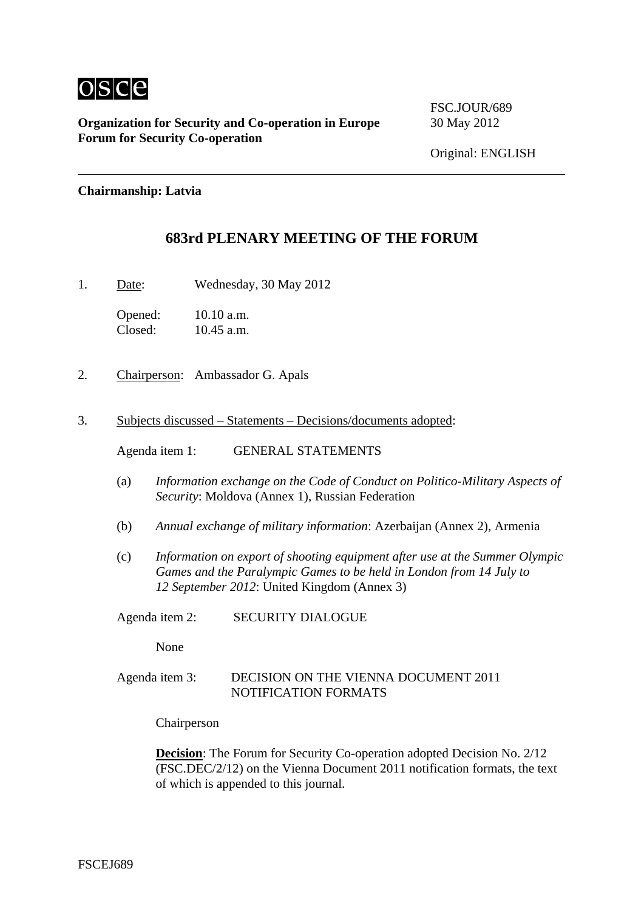

**Organization for Security and Co-operation in Europe** 30 May 2012 **Forum for Security Co-operation**

FSC.JOUR/689

#### **Chairmanship: Latvia**

## **683rd PLENARY MEETING OF THE FORUM**

1. Date: Wednesday, 30 May 2012

Opened: 10.10 a.m. Closed: 10.45 a.m.

- 2. Chairperson: Ambassador G. Apals
- 3. Subjects discussed Statements Decisions/documents adopted:

Agenda item 1: GENERAL STATEMENTS

- (a) *Information exchange on the Code of Conduct on Politico-Military Aspects of Security*: Moldova (Annex 1), Russian Federation
- (b) *Annual exchange of military information*: Azerbaijan (Annex 2), Armenia
- (c) *Information on export of shooting equipment after use at the Summer Olympic Games and the Paralympic Games to be held in London from 14 July to 12 September 2012*: United Kingdom (Annex 3)
- Agenda item 2: SECURITY DIALOGUE

None

Agenda item 3: DECISION ON THE VIENNA DOCUMENT 2011 NOTIFICATION FORMATS

Chairperson

**Decision:** The Forum for Security Co-operation adopted Decision No. 2/12 (FSC.DEC/2/12) on the Vienna Document 2011 notification formats, the text of which is appended to this journal.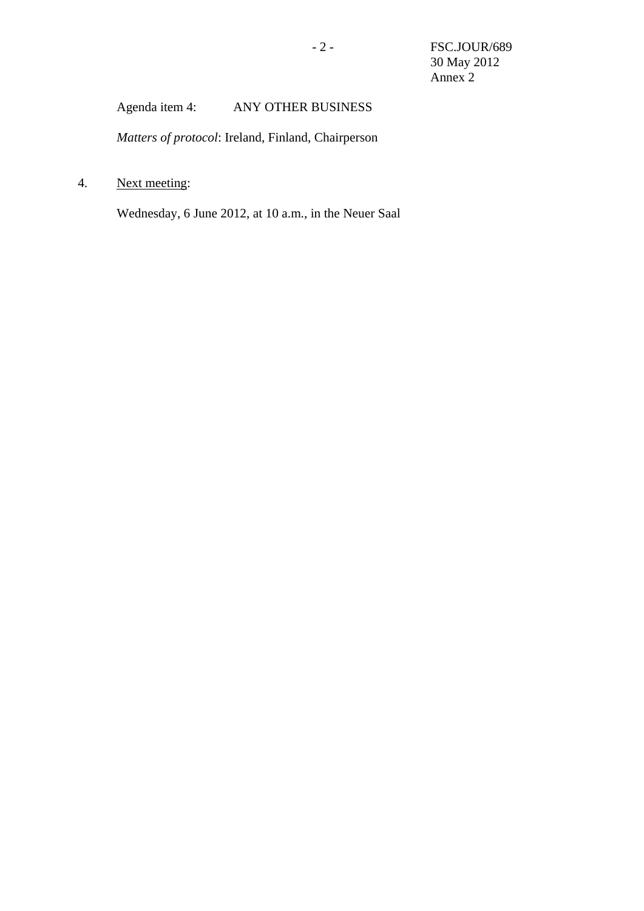# Agenda item 4: ANY OTHER BUSINESS

*Matters of protocol*: Ireland, Finland, Chairperson

4. Next meeting:

Wednesday, 6 June 2012, at 10 a.m., in the Neuer Saal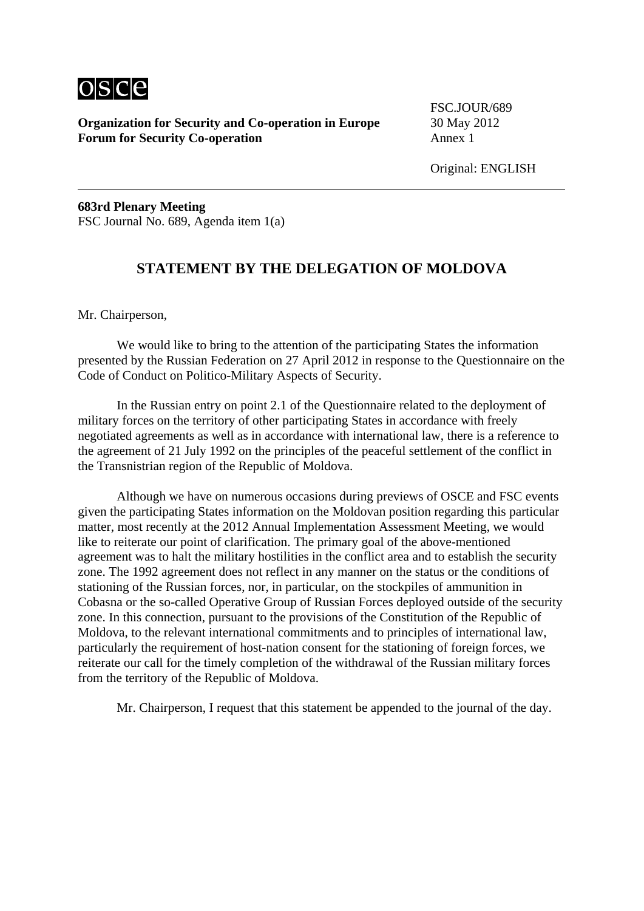

**Organization for Security and Co-operation in Europe** 30 May 2012 **Forum for Security Co-operation** Annex 1

FSC.JOUR/689

**683rd Plenary Meeting**  FSC Journal No. 689, Agenda item 1(a)

## **STATEMENT BY THE DELEGATION OF MOLDOVA**

Mr. Chairperson,

 We would like to bring to the attention of the participating States the information presented by the Russian Federation on 27 April 2012 in response to the Questionnaire on the Code of Conduct on Politico-Military Aspects of Security.

 In the Russian entry on point 2.1 of the Questionnaire related to the deployment of military forces on the territory of other participating States in accordance with freely negotiated agreements as well as in accordance with international law, there is a reference to the agreement of 21 July 1992 on the principles of the peaceful settlement of the conflict in the Transnistrian region of the Republic of Moldova.

 Although we have on numerous occasions during previews of OSCE and FSC events given the participating States information on the Moldovan position regarding this particular matter, most recently at the 2012 Annual Implementation Assessment Meeting, we would like to reiterate our point of clarification. The primary goal of the above-mentioned agreement was to halt the military hostilities in the conflict area and to establish the security zone. The 1992 agreement does not reflect in any manner on the status or the conditions of stationing of the Russian forces, nor, in particular, on the stockpiles of ammunition in Cobasna or the so-called Operative Group of Russian Forces deployed outside of the security zone. In this connection, pursuant to the provisions of the Constitution of the Republic of Moldova, to the relevant international commitments and to principles of international law, particularly the requirement of host-nation consent for the stationing of foreign forces, we reiterate our call for the timely completion of the withdrawal of the Russian military forces from the territory of the Republic of Moldova.

Mr. Chairperson, I request that this statement be appended to the journal of the day.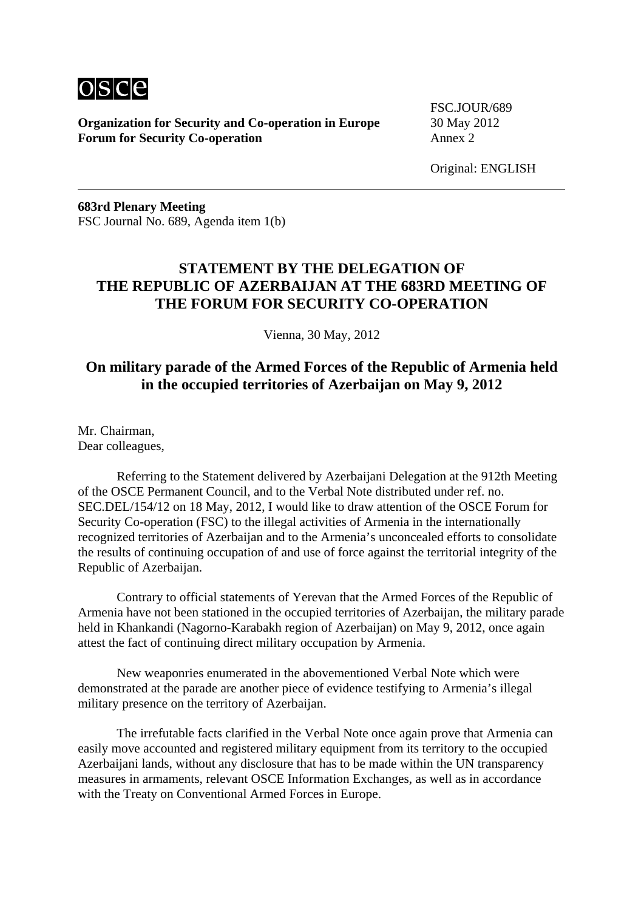

**Organization for Security and Co-operation in Europe** 30 May 2012 **Forum for Security Co-operation** Annex 2

FSC.JOUR/689

Original: ENGLISH

**683rd Plenary Meeting**  FSC Journal No. 689, Agenda item 1(b)

## **STATEMENT BY THE DELEGATION OF THE REPUBLIC OF AZERBAIJAN AT THE 683RD MEETING OF THE FORUM FOR SECURITY CO-OPERATION**

Vienna, 30 May, 2012

## **On military parade of the Armed Forces of the Republic of Armenia held in the occupied territories of Azerbaijan on May 9, 2012**

Mr. Chairman, Dear colleagues,

 Referring to the Statement delivered by Azerbaijani Delegation at the 912th Meeting of the OSCE Permanent Council, and to the Verbal Note distributed under ref. no. SEC.DEL/154/12 on 18 May, 2012, I would like to draw attention of the OSCE Forum for Security Co-operation (FSC) to the illegal activities of Armenia in the internationally recognized territories of Azerbaijan and to the Armenia's unconcealed efforts to consolidate the results of continuing occupation of and use of force against the territorial integrity of the Republic of Azerbaijan.

 Contrary to official statements of Yerevan that the Armed Forces of the Republic of Armenia have not been stationed in the occupied territories of Azerbaijan, the military parade held in Khankandi (Nagorno-Karabakh region of Azerbaijan) on May 9, 2012, once again attest the fact of continuing direct military occupation by Armenia.

 New weaponries enumerated in the abovementioned Verbal Note which were demonstrated at the parade are another piece of evidence testifying to Armenia's illegal military presence on the territory of Azerbaijan.

 The irrefutable facts clarified in the Verbal Note once again prove that Armenia can easily move accounted and registered military equipment from its territory to the occupied Azerbaijani lands, without any disclosure that has to be made within the UN transparency measures in armaments, relevant OSCE Information Exchanges, as well as in accordance with the Treaty on Conventional Armed Forces in Europe.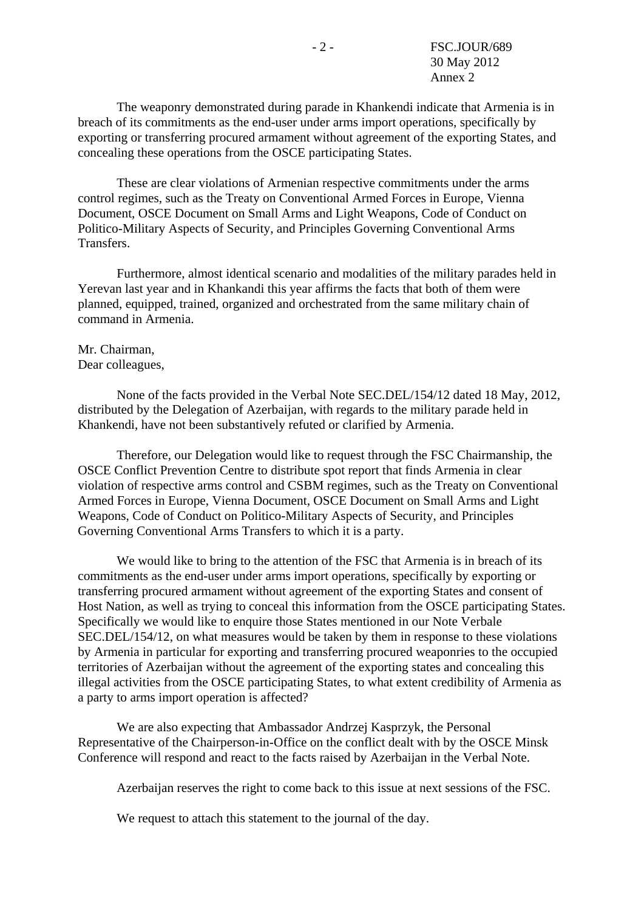The weaponry demonstrated during parade in Khankendi indicate that Armenia is in breach of its commitments as the end-user under arms import operations, specifically by exporting or transferring procured armament without agreement of the exporting States, and concealing these operations from the OSCE participating States.

 These are clear violations of Armenian respective commitments under the arms control regimes, such as the Treaty on Conventional Armed Forces in Europe, Vienna Document, OSCE Document on Small Arms and Light Weapons, Code of Conduct on Politico-Military Aspects of Security, and Principles Governing Conventional Arms Transfers.

 Furthermore, almost identical scenario and modalities of the military parades held in Yerevan last year and in Khankandi this year affirms the facts that both of them were planned, equipped, trained, organized and orchestrated from the same military chain of command in Armenia.

#### Mr. Chairman, Dear colleagues,

 None of the facts provided in the Verbal Note SEC.DEL/154/12 dated 18 May, 2012, distributed by the Delegation of Azerbaijan, with regards to the military parade held in Khankendi, have not been substantively refuted or clarified by Armenia.

 Therefore, our Delegation would like to request through the FSC Chairmanship, the OSCE Conflict Prevention Centre to distribute spot report that finds Armenia in clear violation of respective arms control and CSBM regimes, such as the Treaty on Conventional Armed Forces in Europe, Vienna Document, OSCE Document on Small Arms and Light Weapons, Code of Conduct on Politico-Military Aspects of Security, and Principles Governing Conventional Arms Transfers to which it is a party.

 We would like to bring to the attention of the FSC that Armenia is in breach of its commitments as the end-user under arms import operations, specifically by exporting or transferring procured armament without agreement of the exporting States and consent of Host Nation, as well as trying to conceal this information from the OSCE participating States. Specifically we would like to enquire those States mentioned in our Note Verbale SEC.DEL/154/12, on what measures would be taken by them in response to these violations by Armenia in particular for exporting and transferring procured weaponries to the occupied territories of Azerbaijan without the agreement of the exporting states and concealing this illegal activities from the OSCE participating States, to what extent credibility of Armenia as a party to arms import operation is affected?

 We are also expecting that Ambassador Andrzej Kasprzyk, the Personal Representative of the Chairperson-in-Office on the conflict dealt with by the OSCE Minsk Conference will respond and react to the facts raised by Azerbaijan in the Verbal Note.

Azerbaijan reserves the right to come back to this issue at next sessions of the FSC.

We request to attach this statement to the journal of the day.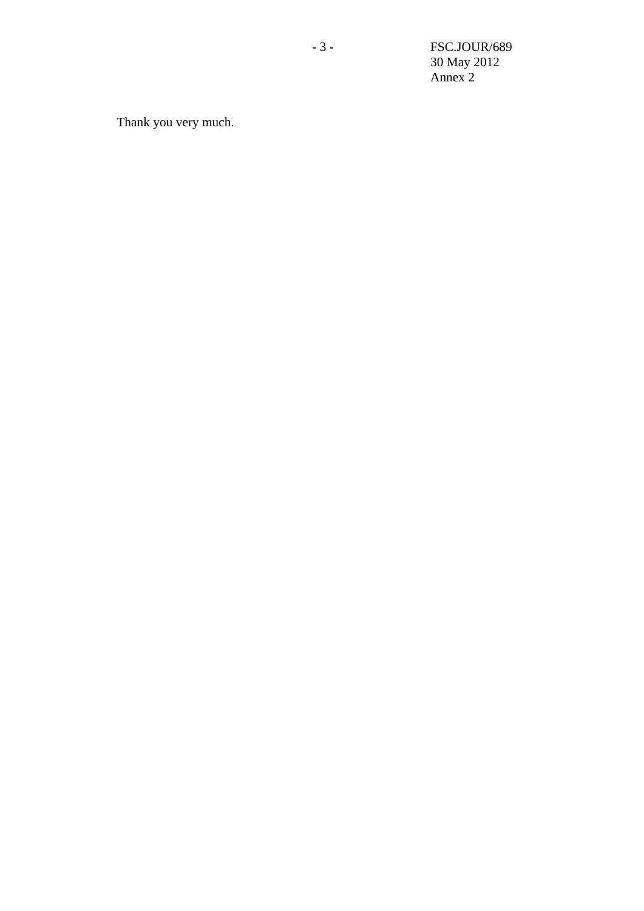- 3 - FSC.JOUR/689 30 May 2012 Annex 2

Thank you very much.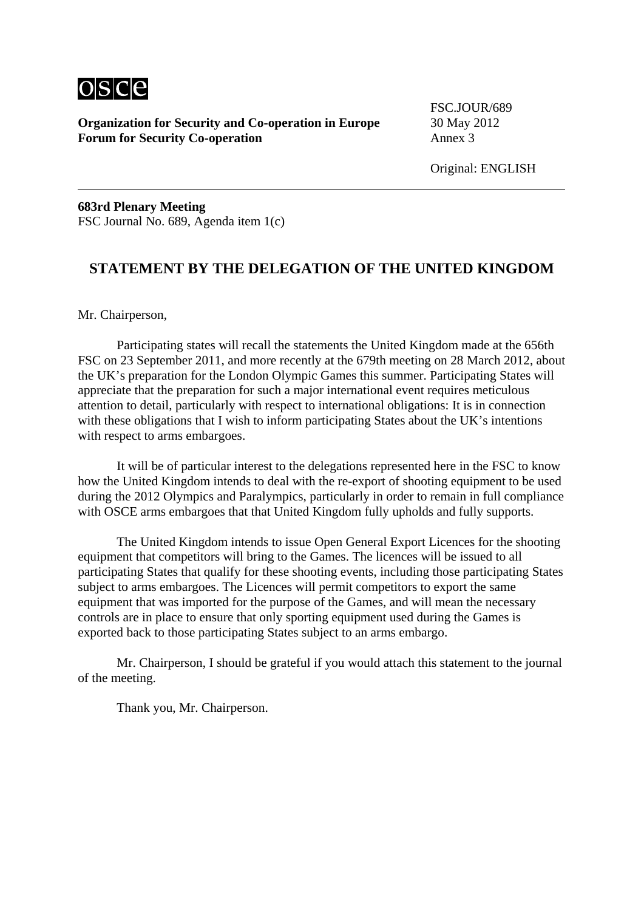

**Organization for Security and Co-operation in Europe** 30 May 2012 **Forum for Security Co-operation** Annex 3

FSC.JOUR/689

Original: ENGLISH

**683rd Plenary Meeting**  FSC Journal No. 689, Agenda item 1(c)

## **STATEMENT BY THE DELEGATION OF THE UNITED KINGDOM**

Mr. Chairperson,

 Participating states will recall the statements the United Kingdom made at the 656th FSC on 23 September 2011, and more recently at the 679th meeting on 28 March 2012, about the UK's preparation for the London Olympic Games this summer. Participating States will appreciate that the preparation for such a major international event requires meticulous attention to detail, particularly with respect to international obligations: It is in connection with these obligations that I wish to inform participating States about the UK's intentions with respect to arms embargoes.

 It will be of particular interest to the delegations represented here in the FSC to know how the United Kingdom intends to deal with the re-export of shooting equipment to be used during the 2012 Olympics and Paralympics, particularly in order to remain in full compliance with OSCE arms embargoes that that United Kingdom fully upholds and fully supports.

 The United Kingdom intends to issue Open General Export Licences for the shooting equipment that competitors will bring to the Games. The licences will be issued to all participating States that qualify for these shooting events, including those participating States subject to arms embargoes. The Licences will permit competitors to export the same equipment that was imported for the purpose of the Games, and will mean the necessary controls are in place to ensure that only sporting equipment used during the Games is exported back to those participating States subject to an arms embargo.

 Mr. Chairperson, I should be grateful if you would attach this statement to the journal of the meeting.

Thank you, Mr. Chairperson.